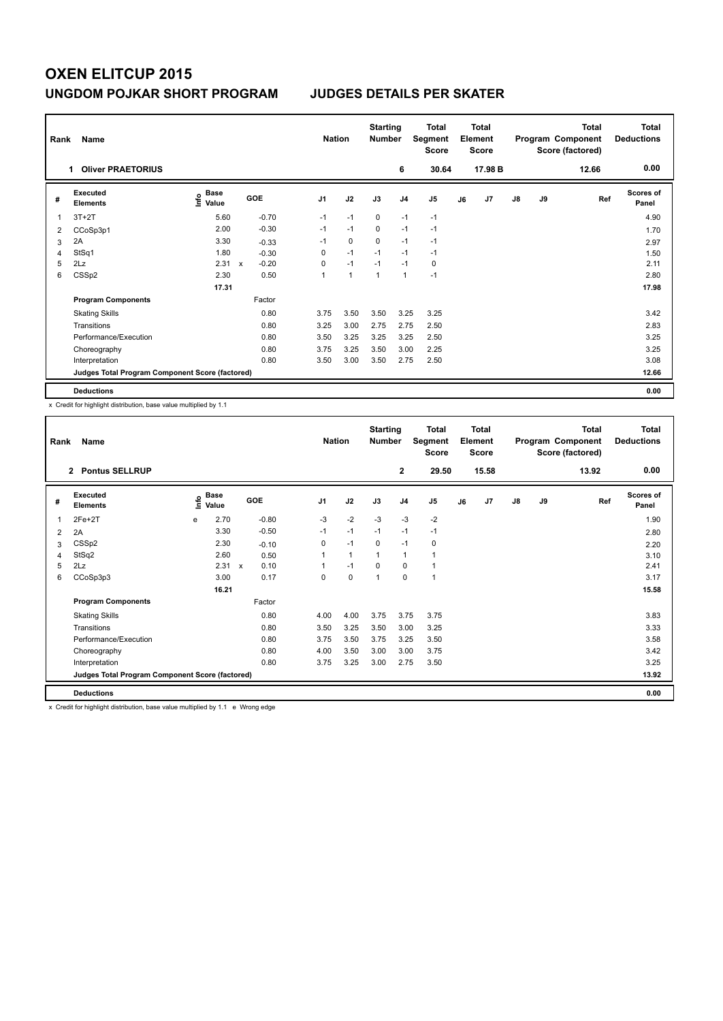## **OXEN ELITCUP 2015 UNGDOM POJKAR SHORT PROGRAM JUDGES DETAILS PER SKATER**

| Rank<br>Name |                                                 |                                  |              |            |                |                | <b>Starting</b><br><b>Number</b> |                | <b>Total</b><br>Segment<br><b>Score</b> | <b>Total</b><br>Element<br><b>Score</b> |         | Program Component |    | <b>Total</b><br>Score (factored) | Total<br><b>Deductions</b> |
|--------------|-------------------------------------------------|----------------------------------|--------------|------------|----------------|----------------|----------------------------------|----------------|-----------------------------------------|-----------------------------------------|---------|-------------------|----|----------------------------------|----------------------------|
|              | <b>Oliver PRAETORIUS</b><br>1.                  |                                  |              |            |                |                |                                  | 6              | 30.64                                   |                                         | 17.98 B |                   |    | 12.66                            | 0.00                       |
| #            | <b>Executed</b><br><b>Elements</b>              | <b>Base</b><br>e Base<br>⊆ Value |              | <b>GOE</b> | J <sub>1</sub> | J2             | J3                               | J <sub>4</sub> | J5                                      | J6                                      | J7      | J8                | J9 | Ref                              | <b>Scores of</b><br>Panel  |
| 1            | $3T+2T$                                         | 5.60                             |              | $-0.70$    | $-1$           | $-1$           | 0                                | $-1$           | $-1$                                    |                                         |         |                   |    |                                  | 4.90                       |
| 2            | CCoSp3p1                                        | 2.00                             |              | $-0.30$    | $-1$           | $-1$           | 0                                | $-1$           | $-1$                                    |                                         |         |                   |    |                                  | 1.70                       |
| 3            | 2A                                              | 3.30                             |              | $-0.33$    | $-1$           | 0              | 0                                | $-1$           | $-1$                                    |                                         |         |                   |    |                                  | 2.97                       |
| 4            | StSq1                                           | 1.80                             |              | $-0.30$    | 0              | $-1$           | $-1$                             | $-1$           | $-1$                                    |                                         |         |                   |    |                                  | 1.50                       |
| 5            | 2Lz                                             | 2.31                             | $\mathsf{x}$ | $-0.20$    | 0              | $-1$           | $-1$                             | $-1$           | 0                                       |                                         |         |                   |    |                                  | 2.11                       |
| 6            | CSSp2                                           | 2.30                             |              | 0.50       | 1              | $\overline{1}$ | 1                                | $\overline{1}$ | $-1$                                    |                                         |         |                   |    |                                  | 2.80                       |
|              |                                                 | 17.31                            |              |            |                |                |                                  |                |                                         |                                         |         |                   |    |                                  | 17.98                      |
|              | <b>Program Components</b>                       |                                  |              | Factor     |                |                |                                  |                |                                         |                                         |         |                   |    |                                  |                            |
|              | <b>Skating Skills</b>                           |                                  |              | 0.80       | 3.75           | 3.50           | 3.50                             | 3.25           | 3.25                                    |                                         |         |                   |    |                                  | 3.42                       |
|              | Transitions                                     |                                  |              | 0.80       | 3.25           | 3.00           | 2.75                             | 2.75           | 2.50                                    |                                         |         |                   |    |                                  | 2.83                       |
|              | Performance/Execution                           |                                  |              | 0.80       | 3.50           | 3.25           | 3.25                             | 3.25           | 2.50                                    |                                         |         |                   |    |                                  | 3.25                       |
|              | Choreography                                    |                                  |              | 0.80       | 3.75           | 3.25           | 3.50                             | 3.00           | 2.25                                    |                                         |         |                   |    |                                  | 3.25                       |
|              | Interpretation                                  |                                  |              | 0.80       | 3.50           | 3.00           | 3.50                             | 2.75           | 2.50                                    |                                         |         |                   |    |                                  | 3.08                       |
|              | Judges Total Program Component Score (factored) |                                  |              |            |                |                |                                  |                |                                         |                                         |         |                   |    |                                  | 12.66                      |
|              | <b>Deductions</b>                               |                                  |              |            |                |                |                                  |                |                                         |                                         |         |                   |    |                                  | 0.00                       |

x Credit for highlight distribution, base value multiplied by 1.1

| Rank | Name                                            |      | <b>Nation</b>        |              | <b>Starting</b><br><b>Number</b> | <b>Total</b><br>Segment<br>Score | <b>Total</b><br>Element<br><b>Score</b> |          |                |                | <b>Total</b><br>Program Component<br>Score (factored) | Total<br><b>Deductions</b> |               |      |     |                    |
|------|-------------------------------------------------|------|----------------------|--------------|----------------------------------|----------------------------------|-----------------------------------------|----------|----------------|----------------|-------------------------------------------------------|----------------------------|---------------|------|-----|--------------------|
|      | <b>Pontus SELLRUP</b><br>$\overline{2}$         |      |                      |              |                                  |                                  | $\mathbf 2$                             | 29.50    |                | 15.58          |                                                       |                            | 13.92         | 0.00 |     |                    |
| #    | Executed<br><b>Elements</b>                     | ١nfo | <b>Base</b><br>Value | GOE          |                                  | J <sub>1</sub>                   | J2                                      | J3       | J <sub>4</sub> | J <sub>5</sub> | J6                                                    | J7                         | $\mathsf{J}8$ | J9   | Ref | Scores of<br>Panel |
| 1    | $2Fe+2T$                                        | e    | 2.70                 |              | $-0.80$                          | $-3$                             | $-2$                                    | $-3$     | $-3$           | $-2$           |                                                       |                            |               |      |     | 1.90               |
| 2    | 2A                                              |      | 3.30                 |              | $-0.50$                          | $-1$                             | $-1$                                    | $-1$     | $-1$           | $-1$           |                                                       |                            |               |      |     | 2.80               |
| 3    | CSSp2                                           |      | 2.30                 |              | $-0.10$                          | 0                                | $-1$                                    | 0        | $-1$           | 0              |                                                       |                            |               |      |     | 2.20               |
| 4    | StSq2                                           |      | 2.60                 |              | 0.50                             | 1                                | 1                                       | 1        | $\mathbf{1}$   | 1              |                                                       |                            |               |      |     | 3.10               |
| 5    | 2Lz                                             |      | 2.31                 | $\mathsf{x}$ | 0.10                             | 1                                | $-1$                                    | $\Omega$ | $\mathbf 0$    | 1              |                                                       |                            |               |      |     | 2.41               |
| 6    | CCoSp3p3                                        |      | 3.00                 |              | 0.17                             | 0                                | 0                                       | 1        | 0              | 1              |                                                       |                            |               |      |     | 3.17               |
|      |                                                 |      | 16.21                |              |                                  |                                  |                                         |          |                |                |                                                       |                            |               |      |     | 15.58              |
|      | <b>Program Components</b>                       |      |                      |              | Factor                           |                                  |                                         |          |                |                |                                                       |                            |               |      |     |                    |
|      | <b>Skating Skills</b>                           |      |                      |              | 0.80                             | 4.00                             | 4.00                                    | 3.75     | 3.75           | 3.75           |                                                       |                            |               |      |     | 3.83               |
|      | Transitions                                     |      |                      |              | 0.80                             | 3.50                             | 3.25                                    | 3.50     | 3.00           | 3.25           |                                                       |                            |               |      |     | 3.33               |
|      | Performance/Execution                           |      |                      |              | 0.80                             | 3.75                             | 3.50                                    | 3.75     | 3.25           | 3.50           |                                                       |                            |               |      |     | 3.58               |
|      | Choreography                                    |      |                      |              | 0.80                             | 4.00                             | 3.50                                    | 3.00     | 3.00           | 3.75           |                                                       |                            |               |      |     | 3.42               |
|      | Interpretation                                  |      |                      |              | 0.80                             | 3.75                             | 3.25                                    | 3.00     | 2.75           | 3.50           |                                                       |                            |               |      |     | 3.25               |
|      | Judges Total Program Component Score (factored) |      |                      |              |                                  |                                  |                                         |          |                |                |                                                       |                            |               |      |     | 13.92              |
|      | <b>Deductions</b>                               |      |                      |              |                                  |                                  |                                         |          |                |                |                                                       |                            |               |      |     | 0.00               |

x Credit for highlight distribution, base value multiplied by 1.1 e Wrong edge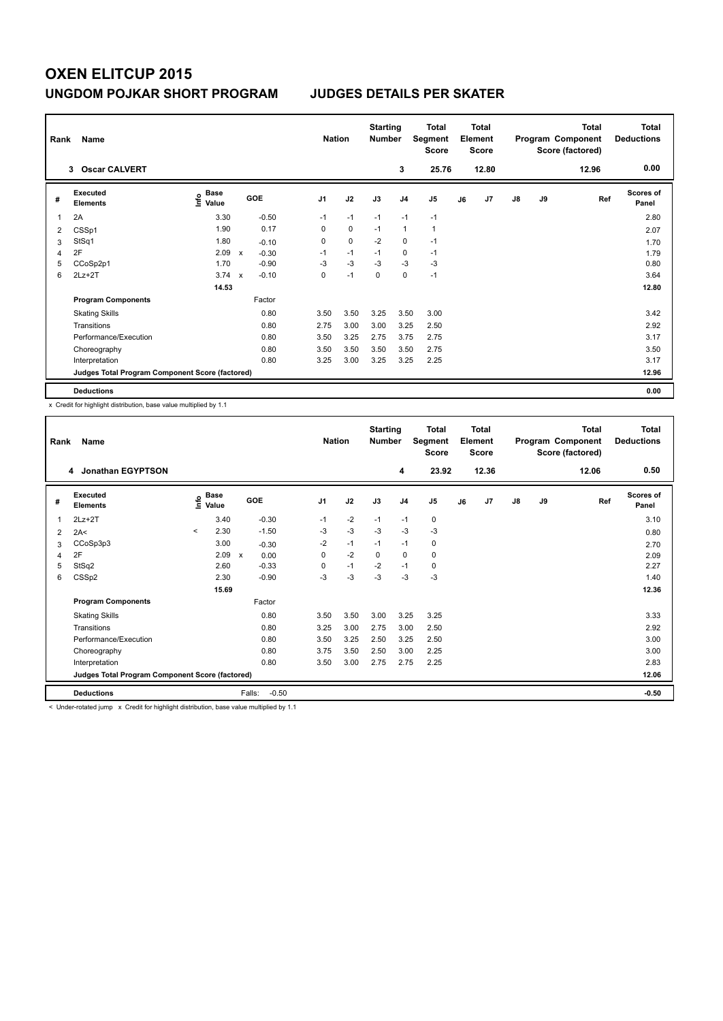## **OXEN ELITCUP 2015 UNGDOM POJKAR SHORT PROGRAM JUDGES DETAILS PER SKATER**

| Rank | Name                                            |                                  | <b>Nation</b>             |            | <b>Starting</b><br><b>Number</b> | <b>Total</b><br>Segment<br><b>Score</b> | <b>Total</b><br>Element<br><b>Score</b> |                | <b>Total</b><br>Program Component<br>Score (factored) |    |       | Total<br><b>Deductions</b> |    |       |                           |
|------|-------------------------------------------------|----------------------------------|---------------------------|------------|----------------------------------|-----------------------------------------|-----------------------------------------|----------------|-------------------------------------------------------|----|-------|----------------------------|----|-------|---------------------------|
|      | 3 Oscar CALVERT                                 |                                  |                           |            |                                  |                                         |                                         | 3              | 25.76                                                 |    | 12.80 |                            |    | 12.96 | 0.00                      |
| #    | <b>Executed</b><br><b>Elements</b>              | <b>Base</b><br>e Base<br>⊆ Value |                           | <b>GOE</b> | J <sub>1</sub>                   | J2                                      | J3                                      | J <sub>4</sub> | J5                                                    | J6 | J7    | $\mathsf{J}8$              | J9 | Ref   | <b>Scores of</b><br>Panel |
| 1    | 2A                                              | 3.30                             |                           | $-0.50$    | $-1$                             | $-1$                                    | $-1$                                    | $-1$           | $-1$                                                  |    |       |                            |    |       | 2.80                      |
| 2    | CSSp1                                           | 1.90                             |                           | 0.17       | 0                                | $\mathbf 0$                             | $-1$                                    | $\overline{1}$ | $\mathbf{1}$                                          |    |       |                            |    |       | 2.07                      |
| 3    | StSq1                                           | 1.80                             |                           | $-0.10$    | 0                                | 0                                       | $-2$                                    | 0              | $-1$                                                  |    |       |                            |    |       | 1.70                      |
| 4    | 2F                                              | 2.09                             | $\mathbf{x}$              | $-0.30$    | $-1$                             | $-1$                                    | $-1$                                    | 0              | $-1$                                                  |    |       |                            |    |       | 1.79                      |
| 5    | CCoSp2p1                                        | 1.70                             |                           | $-0.90$    | $-3$                             | $-3$                                    | $-3$                                    | $-3$           | $-3$                                                  |    |       |                            |    |       | 0.80                      |
| 6    | $2Lz + 2T$                                      | 3.74                             | $\boldsymbol{\mathsf{x}}$ | $-0.10$    | 0                                | $-1$                                    | 0                                       | $\mathbf 0$    | $-1$                                                  |    |       |                            |    |       | 3.64                      |
|      |                                                 | 14.53                            |                           |            |                                  |                                         |                                         |                |                                                       |    |       |                            |    |       | 12.80                     |
|      | <b>Program Components</b>                       |                                  |                           | Factor     |                                  |                                         |                                         |                |                                                       |    |       |                            |    |       |                           |
|      | <b>Skating Skills</b>                           |                                  |                           | 0.80       | 3.50                             | 3.50                                    | 3.25                                    | 3.50           | 3.00                                                  |    |       |                            |    |       | 3.42                      |
|      | Transitions                                     |                                  |                           | 0.80       | 2.75                             | 3.00                                    | 3.00                                    | 3.25           | 2.50                                                  |    |       |                            |    |       | 2.92                      |
|      | Performance/Execution                           |                                  |                           | 0.80       | 3.50                             | 3.25                                    | 2.75                                    | 3.75           | 2.75                                                  |    |       |                            |    |       | 3.17                      |
|      | Choreography                                    |                                  |                           | 0.80       | 3.50                             | 3.50                                    | 3.50                                    | 3.50           | 2.75                                                  |    |       |                            |    |       | 3.50                      |
|      | Interpretation                                  |                                  |                           | 0.80       | 3.25                             | 3.00                                    | 3.25                                    | 3.25           | 2.25                                                  |    |       |                            |    |       | 3.17                      |
|      | Judges Total Program Component Score (factored) |                                  |                           |            |                                  |                                         |                                         |                |                                                       |    |       |                            |    |       | 12.96                     |
|      | <b>Deductions</b>                               |                                  |                           |            |                                  |                                         |                                         |                |                                                       |    |       |                            |    |       | 0.00                      |

x Credit for highlight distribution, base value multiplied by 1.1

| Rank | Name                                            |                                  |                      | <b>Nation</b>  |      | <b>Starting</b><br><b>Number</b> |                | <b>Total</b><br>Segment<br><b>Score</b> |    | <b>Total</b><br>Element<br><b>Score</b> |               |    | <b>Total</b><br>Program Component<br>Score (factored) | <b>Total</b><br><b>Deductions</b> |
|------|-------------------------------------------------|----------------------------------|----------------------|----------------|------|----------------------------------|----------------|-----------------------------------------|----|-----------------------------------------|---------------|----|-------------------------------------------------------|-----------------------------------|
|      | Jonathan EGYPTSON<br>4                          |                                  |                      |                |      |                                  | 4              | 23.92                                   |    | 12.36                                   |               |    | 12.06                                                 | 0.50                              |
| #    | Executed<br><b>Elements</b>                     | <b>Base</b><br>e Base<br>⊆ Value | GOE                  | J <sub>1</sub> | J2   | J3                               | J <sub>4</sub> | J <sub>5</sub>                          | J6 | J7                                      | $\mathsf{J}8$ | J9 | Ref                                                   | <b>Scores of</b><br>Panel         |
| 1    | $2Lz+2T$                                        | 3.40                             | $-0.30$              | $-1$           | $-2$ | $-1$                             | $-1$           | 0                                       |    |                                         |               |    |                                                       | 3.10                              |
| 2    | 2A<                                             | 2.30<br>$\prec$                  | $-1.50$              | $-3$           | $-3$ | $-3$                             | $-3$           | $-3$                                    |    |                                         |               |    |                                                       | 0.80                              |
| 3    | CCoSp3p3                                        | 3.00                             | $-0.30$              | $-2$           | $-1$ | $-1$                             | $-1$           | 0                                       |    |                                         |               |    |                                                       | 2.70                              |
| 4    | 2F                                              | 2.09                             | 0.00<br>$\pmb{\chi}$ | 0              | $-2$ | 0                                | $\mathbf 0$    | 0                                       |    |                                         |               |    |                                                       | 2.09                              |
| 5    | StSq2                                           | 2.60                             | $-0.33$              | 0              | $-1$ | $-2$                             | $-1$           | 0                                       |    |                                         |               |    |                                                       | 2.27                              |
| 6    | CSSp2                                           | 2.30                             | $-0.90$              | -3             | -3   | $-3$                             | $-3$           | $-3$                                    |    |                                         |               |    |                                                       | 1.40                              |
|      |                                                 | 15.69                            |                      |                |      |                                  |                |                                         |    |                                         |               |    | 12.36                                                 |                                   |
|      | <b>Program Components</b>                       |                                  | Factor               |                |      |                                  |                |                                         |    |                                         |               |    |                                                       |                                   |
|      | <b>Skating Skills</b>                           |                                  | 0.80                 | 3.50           | 3.50 | 3.00                             | 3.25           | 3.25                                    |    |                                         |               |    |                                                       | 3.33                              |
|      | Transitions                                     |                                  | 0.80                 | 3.25           | 3.00 | 2.75                             | 3.00           | 2.50                                    |    |                                         |               |    |                                                       | 2.92                              |
|      | Performance/Execution                           |                                  | 0.80                 | 3.50           | 3.25 | 2.50                             | 3.25           | 2.50                                    |    |                                         |               |    |                                                       | 3.00                              |
|      | Choreography                                    |                                  | 0.80                 | 3.75           | 3.50 | 2.50                             | 3.00           | 2.25                                    |    |                                         |               |    |                                                       | 3.00                              |
|      | Interpretation                                  |                                  | 0.80                 | 3.50           | 3.00 | 2.75                             | 2.75           | 2.25                                    |    |                                         |               |    |                                                       | 2.83                              |
|      | Judges Total Program Component Score (factored) |                                  |                      |                |      |                                  |                |                                         |    |                                         |               |    |                                                       | 12.06                             |
|      | <b>Deductions</b>                               |                                  | Falls:<br>$-0.50$    |                |      |                                  |                |                                         |    |                                         |               |    |                                                       | $-0.50$                           |

< Under-rotated jump x Credit for highlight distribution, base value multiplied by 1.1